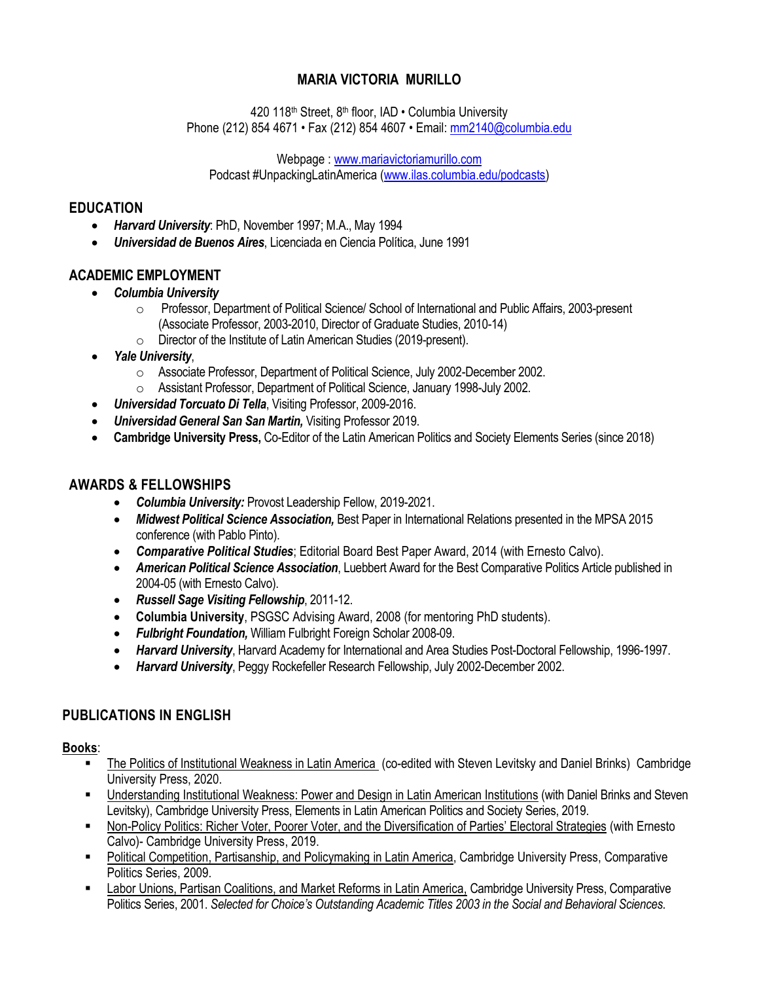# **MARIA VICTORIA MURILLO**

420 118<sup>th</sup> Street, 8<sup>th</sup> floor, IAD • Columbia University Phone (212) 854 4671 • Fax (212) 854 4607 • Email: [mm2140@columbia.edu](mailto:mm2140@columbia.edu)

Webpage [: www.mariavictoriamurillo.com](http://www.mariavictoriamurillo.com/)

Podcast #UnpackingLatinAmerica [\(www.ilas.columbia.edu/podcasts\)](http://www.ilas.columbia.edu/podcasts)

### **EDUCATION**

- *Harvard University*: PhD, November 1997; M.A., May 1994
- *Universidad de Buenos Aires*, Licenciada en Ciencia Política, June 1991

# **ACADEMIC EMPLOYMENT**

- *Columbia University*
	- o Professor, Department of Political Science/ School of International and Public Affairs, 2003-present (Associate Professor, 2003-2010, Director of Graduate Studies, 2010-14)
	- o Director of the Institute of Latin American Studies (2019-present).
- *Yale University*,
	- o Associate Professor, Department of Political Science, July 2002-December 2002.
	- o Assistant Professor, Department of Political Science, January 1998-July 2002.
- *Universidad Torcuato Di Tella*, Visiting Professor, 2009-2016.
- *Universidad General San San Martin,* Visiting Professor 2019.
- **Cambridge University Press,** Co-Editor of the Latin American Politics and Society Elements Series (since 2018)

## **AWARDS & FELLOWSHIPS**

- *Columbia University:* Provost Leadership Fellow, 2019-2021.
- *Midwest Political Science Association,* Best Paper in International Relations presented in the MPSA 2015 conference (with Pablo Pinto).
- *Comparative Political Studies*; Editorial Board Best Paper Award, 2014 (with Ernesto Calvo).
- *American Political Science Association*, Luebbert Award for the Best Comparative Politics Article published in 2004-05 (with Ernesto Calvo).
- *Russell Sage Visiting Fellowship*, 2011-12.
- **Columbia University**, PSGSC Advising Award, 2008 (for mentoring PhD students).
- *Fulbright Foundation,* William Fulbright Foreign Scholar 2008-09.
- *Harvard University*, Harvard Academy for International and Area Studies Post-Doctoral Fellowship, 1996-1997.
- *Harvard University*, Peggy Rockefeller Research Fellowship, July 2002-December 2002.

## **PUBLICATIONS IN ENGLISH**

### **Books**:

- The Politics of Institutional Weakness in Latin America (co-edited with Steven Levitsky and Daniel Brinks) Cambridge University Press, 2020.
- Understanding Institutional Weakness: Power and Design in Latin American Institutions (with Daniel Brinks and Steven Levitsky), Cambridge University Press, Elements in Latin American Politics and Society Series, 2019.
- Non-Policy Politics: Richer Voter, Poorer Voter, and the Diversification of Parties' Electoral Strategies (with Ernesto Calvo)- Cambridge University Press, 2019.
- Political Competition, Partisanship, and Policymaking in Latin America, Cambridge University Press, Comparative Politics Series, 2009.
- Labor Unions, Partisan Coalitions, and Market Reforms in Latin America, Cambridge University Press, Comparative Politics Series, 2001. *Selected for Choice's Outstanding Academic Titles 2003 in the Social and Behavioral Sciences*.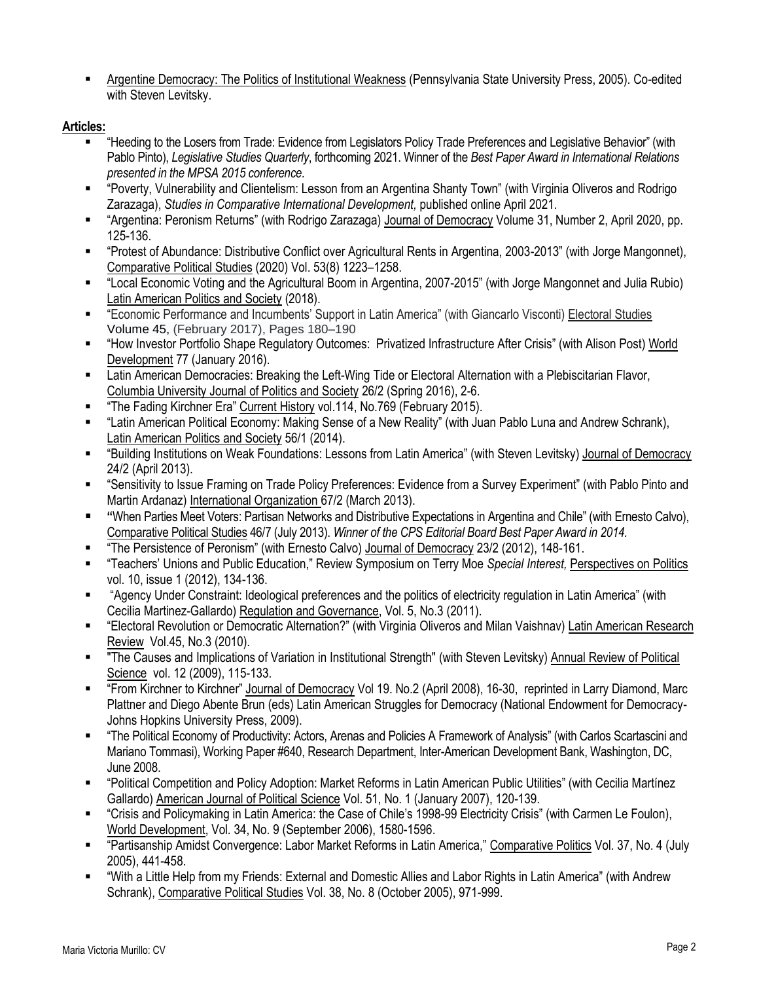Argentine Democracy: The Politics of Institutional Weakness (Pennsylvania State University Press, 2005). Co-edited with Steven Levitsky.

### **Articles:**

- "Heeding to the Losers from Trade: Evidence from Legislators Policy Trade Preferences and Legislative Behavior" (with Pablo Pinto), *Legislative Studies Quarterly*, forthcoming 2021. Winner of the *Best Paper Award in International Relations presented in the MPSA 2015 conference.*
- "Poverty, Vulnerability and Clientelism: Lesson from an Argentina Shanty Town" (with Virginia Oliveros and Rodrigo Zarazaga), *Studies in Comparative International Development,* published online April 2021.
- "Argentina: Peronism Returns" (with Rodrigo Zarazaga) Journal of Democracy Volume 31, Number 2, April 2020, pp. 125-136.
- "Protest of Abundance: Distributive Conflict over Agricultural Rents in Argentina, 2003-2013" (with Jorge Mangonnet), Comparative Political Studies (2020) Vol. 53(8) 1223–1258.
- "Local Economic Voting and the Agricultural Boom in Argentina, 2007-2015" (with Jorge Mangonnet and Julia Rubio) Latin American Politics and Society (2018).
- "Economic Performance and Incumbents' Support in Latin America" (with Giancarlo Visconti) Electoral Studies [Volume](http://www.sciencedirect.com/science/journal/02613794/45/supp/C) 45, (February 2017), Pages 180–190
- "How Investor Portfolio Shape Regulatory Outcomes: Privatized Infrastructure After Crisis" (with Alison Post) World Development 77 (January 2016).
- Latin American Democracies: Breaking the Left-Wing Tide or Electoral Alternation with a Plebiscitarian Flavor, Columbia University Journal of Politics and Society 26/2 (Spring 2016), 2-6.
- "The Fading Kirchner Era" Current History vol.114, No.769 (February 2015).
- "Latin American Political Economy: Making Sense of a New Reality" (with Juan Pablo Luna and Andrew Schrank), Latin American Politics and Society 56/1 (2014).
- "Building Institutions on Weak Foundations: Lessons from Latin America" (with Steven Levitsky) Journal of Democracy 24/2 (April 2013).
- "Sensitivity to Issue Framing on Trade Policy Preferences: Evidence from a Survey Experiment" (with Pablo Pinto and Martin Ardanaz) International Organization 67/2 (March 2013).
- **"**When Parties Meet Voters: Partisan Networks and Distributive Expectations in Argentina and Chile" (with Ernesto Calvo), Comparative Political Studies 46/7 (July 2013). *Winner of the CPS Editorial Board Best Paper Award in 2014.*
- "The Persistence of Peronism" (with Ernesto Calvo) Journal of Democracy 23/2 (2012), 148-161.
- "Teachers' Unions and Public Education," Review Symposium on Terry Moe *Special Interest,* Perspectives on Politics vol. 10, issue 1 (2012), 134-136.
- "Agency Under Constraint: Ideological preferences and the politics of electricity regulation in Latin America" (with Cecilia Martinez-Gallardo) Regulation and Governance, Vol. 5, No.3 (2011).
- "Electoral Revolution or Democratic Alternation?" (with Virginia Oliveros and Milan Vaishnav) Latin American Research Review Vol.45, No.3 (2010).
- "The Causes and Implications of Variation in Institutional Strength" (with Steven Levitsky) Annual Review of Political Science vol. 12 (2009), 115-133.
- "From Kirchner to Kirchner" Journal of Democracy Vol 19. No.2 (April 2008), 16-30, reprinted in Larry Diamond, Marc Plattner and Diego Abente Brun (eds) Latin American Struggles for Democracy (National Endowment for Democracy-Johns Hopkins University Press, 2009).
- "The Political Economy of Productivity: Actors, Arenas and Policies A Framework of Analysis" (with Carlos Scartascini and Mariano Tommasi), Working Paper #640, Research Department, Inter-American Development Bank, Washington, DC, June 2008.
- "Political Competition and Policy Adoption: Market Reforms in Latin American Public Utilities" (with Cecilia Martínez Gallardo) American Journal of Political Science Vol. 51, No. 1 (January 2007), 120-139.
- "Crisis and Policymaking in Latin America: the Case of Chile's 1998-99 Electricity Crisis" (with Carmen Le Foulon), World Development, Vol. 34, No. 9 (September 2006), 1580-1596.
- "Partisanship Amidst Convergence: Labor Market Reforms in Latin America," Comparative Politics Vol. 37, No. 4 (July 2005), 441-458.
- "With a Little Help from my Friends: External and Domestic Allies and Labor Rights in Latin America" (with Andrew Schrank), Comparative Political Studies Vol. 38, No. 8 (October 2005), 971-999.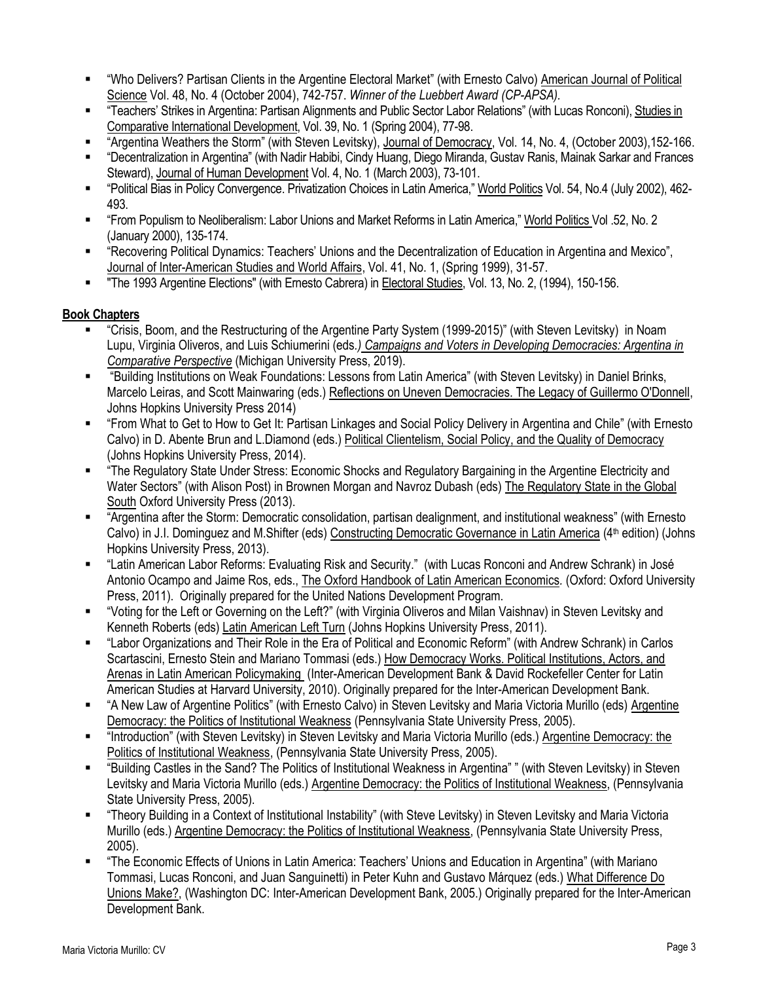- "Who Delivers? Partisan Clients in the Argentine Electoral Market" (with Ernesto Calvo) American Journal of Political Science Vol. 48, No. 4 (October 2004), 742-757. *Winner of the Luebbert Award (CP-APSA).*
- "Teachers' Strikes in Argentina: Partisan Alignments and Public Sector Labor Relations" (with Lucas Ronconi), Studies in Comparative International Development, Vol. 39, No. 1 (Spring 2004), 77-98.
- "Argentina Weathers the Storm" (with Steven Levitsky), Journal of Democracy, Vol. 14, No. 4, (October 2003),152-166.
- "Decentralization in Argentina" (with Nadir Habibi, Cindy Huang, Diego Miranda, Gustav Ranis, Mainak Sarkar and Frances Steward), Journal of Human Development Vol. 4, No. 1 (March 2003), 73-101.
- "Political Bias in Policy Convergence. Privatization Choices in Latin America," World Politics Vol. 54, No.4 (July 2002), 462- 493.
- "From Populism to Neoliberalism: Labor Unions and Market Reforms in Latin America," World Politics Vol .52, No. 2 (January 2000), 135-174.
- " "Recovering Political Dynamics: Teachers' Unions and the Decentralization of Education in Argentina and Mexico", Journal of Inter-American Studies and World Affairs, Vol. 41, No. 1, (Spring 1999), 31-57.
- "The 1993 Argentine Elections" (with Ernesto Cabrera) in Electoral Studies, Vol. 13, No. 2, (1994), 150-156.

### **Book Chapters**

- "Crisis, Boom, and the Restructuring of the Argentine Party System (1999-2015)" (with Steven Levitsky) in Noam Lupu, Virginia Oliveros, and Luis Schiumerini (eds*.) Campaigns and Voters in Developing Democracies: Argentina in Comparative Perspective* (Michigan University Press, 2019).
- "Building Institutions on Weak Foundations: Lessons from Latin America" (with Steven Levitsky) in Daniel Brinks, Marcelo Leiras, and Scott Mainwaring (eds.) Reflections on Uneven Democracies. The Legacy of Guillermo O'Donnell, Johns Hopkins University Press 2014)
- "From What to Get to How to Get It: Partisan Linkages and Social Policy Delivery in Argentina and Chile" (with Ernesto Calvo) in D. Abente Brun and L.Diamond (eds.) Political Clientelism, Social Policy, and the Quality of Democracy (Johns Hopkins University Press, 2014).
- "The Regulatory State Under Stress: Economic Shocks and Regulatory Bargaining in the Argentine Electricity and Water Sectors" (with Alison Post) in Brownen Morgan and Navroz Dubash (eds) The Regulatory State in the Global South Oxford University Press (2013).
- "Argentina after the Storm: Democratic consolidation, partisan dealignment, and institutional weakness" (with Ernesto Calvo) in J.I. Dominguez and M.Shifter (eds) Constructing Democratic Governance in Latin America (4<sup>th</sup> edition) (Johns Hopkins University Press, 2013).
- "Latin American Labor Reforms: Evaluating Risk and Security." (with Lucas Ronconi and Andrew Schrank) in José Antonio Ocampo and Jaime Ros, eds., The Oxford Handbook of Latin American Economics*.* (Oxford: Oxford University Press, 2011). Originally prepared for the United Nations Development Program.
- "Voting for the Left or Governing on the Left?" (with Virginia Oliveros and Milan Vaishnav) in Steven Levitsky and Kenneth Roberts (eds) Latin American Left Turn (Johns Hopkins University Press, 2011).
- "Labor Organizations and Their Role in the Era of Political and Economic Reform" (with Andrew Schrank) in Carlos Scartascini, Ernesto Stein and Mariano Tommasi (eds.) How Democracy Works. Political Institutions, Actors, and Arenas in Latin American Policymaking (Inter-American Development Bank & David Rockefeller Center for Latin American Studies at Harvard University, 2010). Originally prepared for the Inter-American Development Bank.
- "A New Law of Argentine Politics" (with Ernesto Calvo) in Steven Levitsky and Maria Victoria Murillo (eds) Argentine Democracy: the Politics of Institutional Weakness (Pennsylvania State University Press, 2005).
- "Introduction" (with Steven Levitsky) in Steven Levitsky and Maria Victoria Murillo (eds.) Argentine Democracy: the Politics of Institutional Weakness, (Pennsylvania State University Press, 2005).
- "Building Castles in the Sand? The Politics of Institutional Weakness in Argentina" " (with Steven Levitsky) in Steven Levitsky and Maria Victoria Murillo (eds.) Argentine Democracy: the Politics of Institutional Weakness, (Pennsylvania State University Press, 2005).
- "Theory Building in a Context of Institutional Instability" (with Steve Levitsky) in Steven Levitsky and Maria Victoria Murillo (eds.) Argentine Democracy: the Politics of Institutional Weakness, (Pennsylvania State University Press, 2005).
- "The Economic Effects of Unions in Latin America: Teachers' Unions and Education in Argentina" (with Mariano Tommasi, Lucas Ronconi, and Juan Sanguinetti) in Peter Kuhn and Gustavo Márquez (eds.) What Difference Do Unions Make?, (Washington DC: Inter-American Development Bank, 2005.) Originally prepared for the Inter-American Development Bank.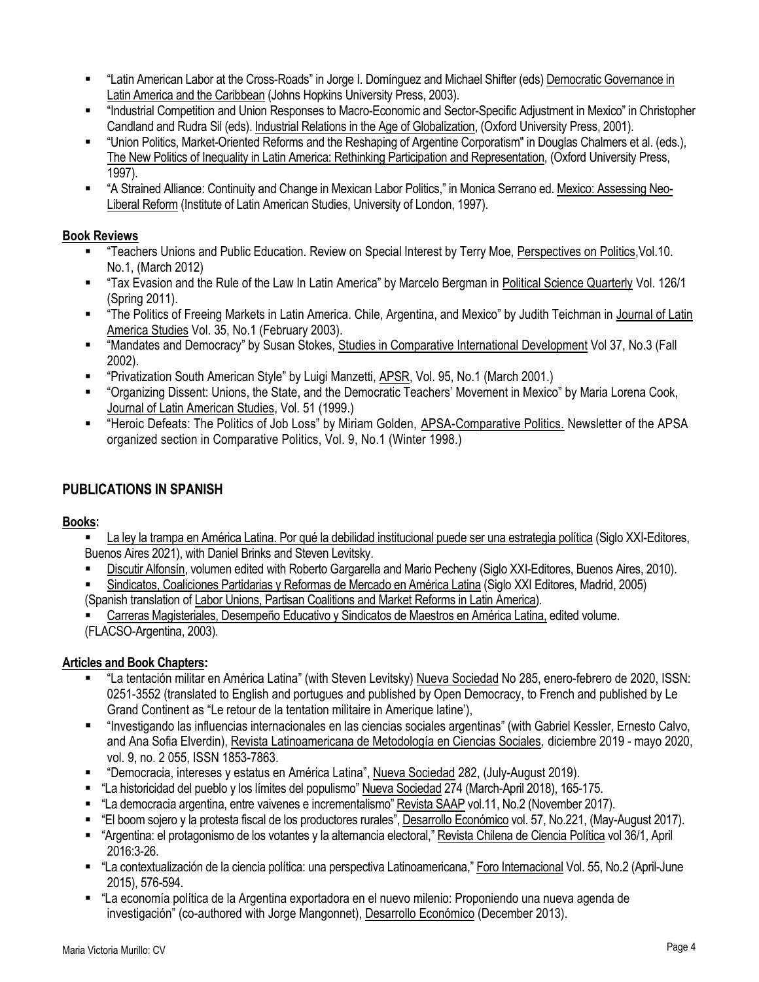- "Latin American Labor at the Cross-Roads" in Jorge I. Domínguez and Michael Shifter (eds) Democratic Governance in Latin America and the Caribbean (Johns Hopkins University Press, 2003).
- "Industrial Competition and Union Responses to Macro-Economic and Sector-Specific Adjustment in Mexico" in Christopher Candland and Rudra Sil (eds). Industrial Relations in the Age of Globalization, (Oxford University Press, 2001).
- "Union Politics, Market-Oriented Reforms and the Reshaping of Argentine Corporatism" in Douglas Chalmers et al. (eds.), The New Politics of Inequality in Latin America: Rethinking Participation and Representation, (Oxford University Press, 1997).
- "A Strained Alliance: Continuity and Change in Mexican Labor Politics," in Monica Serrano ed. Mexico: Assessing Neo-Liberal Reform (Institute of Latin American Studies, University of London, 1997).

## **Book Reviews**

- "Teachers Unions and Public Education. Review on Special Interest by Terry Moe, Perspectives on Politics,Vol.10. No.1, (March 2012)
- "Tax Evasion and the Rule of the Law In Latin America" by Marcelo Bergman in Political Science Quarterly Vol. 126/1 (Spring 2011).
- "The Politics of Freeing Markets in Latin America. Chile, Argentina, and Mexico" by Judith Teichman in Journal of Latin America Studies Vol. 35, No.1 (February 2003).
- "Mandates and Democracy" by Susan Stokes, Studies in Comparative International Development Vol 37, No.3 (Fall 2002).
- " "Privatization South American Style" by Luigi Manzetti, APSR, Vol. 95, No.1 (March 2001.)
- "Organizing Dissent: Unions, the State, and the Democratic Teachers' Movement in Mexico" by Maria Lorena Cook, Journal of Latin American Studies, Vol. 51 (1999.)
- "Heroic Defeats: The Politics of Job Loss" by Miriam Golden, APSA-Comparative Politics. Newsletter of the APSA organized section in Comparative Politics, Vol. 9, No.1 (Winter 1998.)

# **PUBLICATIONS IN SPANISH**

## **Books:**

- La ley la trampa en América Latina. Por qué la debilidad institucional puede ser una estrategia política (Siglo XXI-Editores, Buenos Aires 2021), with Daniel Brinks and Steven Levitsky.
- Discutir Alfonsín, volumen edited with Roberto Gargarella and Mario Pecheny (Siglo XXI-Editores, Buenos Aires, 2010).

 Sindicatos, Coaliciones Partidarias y Reformas de Mercado en América Latina (Siglo XXI Editores, Madrid, 2005) (Spanish translation of Labor Unions, Partisan Coalitions and Market Reforms in Latin America).

 Carreras Magisteriales, Desempeño Educativo y Sindicatos de Maestros en América Latina, edited volume. (FLACSO-Argentina, 2003).

## **Articles and Book Chapters:**

- "La tentación militar en América Latina" (with Steven Levitsky) Nueva Sociedad No 285, enero-febrero de 2020, ISSN: 0251-3552 (translated to English and portugues and published by Open Democracy, to French and published by Le Grand Continent as "Le retour de la tentation militaire in Amerique latine'),
- "Investigando las influencias internacionales en las ciencias sociales argentinas" (with Gabriel Kessler, Ernesto Calvo, and Ana Sofia Elverdin), Revista Latinoamericana de Metodología en Ciencias Sociales*,* diciembre 2019 - mayo 2020, vol. 9, no. 2 055, ISSN 1853-7863.
- "Democracia, intereses y estatus en América Latina", Nueva Sociedad 282, (July-August 2019).
- "La historicidad del pueblo y los límites del populismo" Nueva Sociedad 274 (March-April 2018), 165-175.
- "La democracia argentina, entre vaivenes e incrementalismo" Revista SAAP vol.11, No.2 (November 2017).
- "El boom sojero y la protesta fiscal de los productores rurales", Desarrollo Económico vol. 57, No.221, (May-August 2017).
- "Argentina: el protagonismo de los votantes y la alternancia electoral," Revista Chilena de Ciencia Política vol 36/1, April 2016:3-26.
- "La contextualización de la ciencia política: una perspectiva Latinoamericana," Foro Internacional Vol. 55, No.2 (April-June 2015), 576-594.
- "La economía política de la Argentina exportadora en el nuevo milenio: Proponiendo una nueva agenda de investigación" (co-authored with Jorge Mangonnet), Desarrollo Económico (December 2013).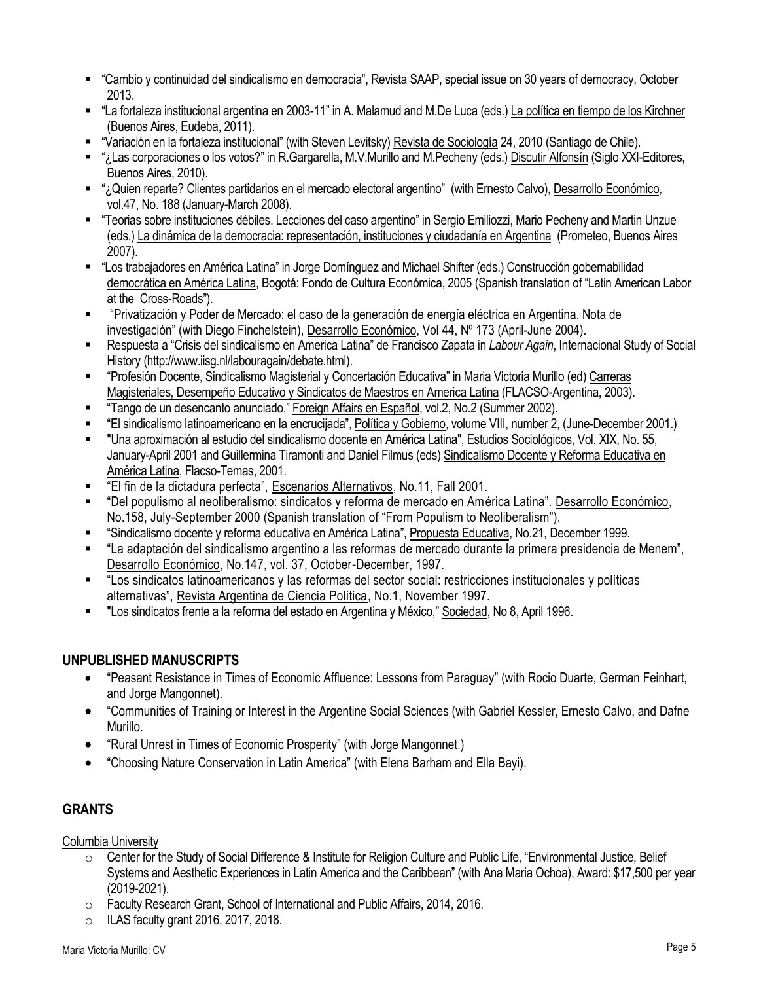- "Cambio y continuidad del sindicalismo en democracia", Revista SAAP, special issue on 30 years of democracy, October 2013.
- "La fortaleza institucional argentina en 2003-11" in A. Malamud and M.De Luca (eds.) La política en tiempo de los Kirchner (Buenos Aires, Eudeba, 2011).
- "Variación en la fortaleza institucional" (with Steven Levitsky) Revista de Sociología 24, 2010 (Santiago de Chile).
- "¿Las corporaciones o los votos?" in R.Gargarella, M.V.Murillo and M.Pecheny (eds.) Discutir Alfonsín (Siglo XXI-Editores, Buenos Aires, 2010).
- "¿Quien reparte? Clientes partidarios en el mercado electoral argentino" (with Ernesto Calvo), Desarrollo Económico, vol.47, No. 188 (January-March 2008).
- "Teorias sobre instituciones débiles. Lecciones del caso argentino" in Sergio Emiliozzi, Mario Pecheny and Martin Unzue (eds.) La dinámica de la democracia: representación, instituciones y ciudadanía en Argentina (Prometeo, Buenos Aires 2007).
- "Los trabajadores en América Latina" in Jorge Domínguez and Michael Shifter (eds.) Construcción gobernabilidad democrática en América Latina, Bogotá: Fondo de Cultura Económica, 2005 (Spanish translation of "Latin American Labor at the Cross-Roads").
- "Privatización y Poder de Mercado: el caso de la generación de energía eléctrica en Argentina. Nota de investigación" (with Diego Finchelstein), Desarrollo Económico, Vol 44, Nº 173 (April-June 2004).
- Respuesta a "Crisis del sindicalismo en America Latina" de Francisco Zapata in *Labour Again*, Internacional Study of Social History (http://www.iisg.nl/labouragain/debate.html).
- "Profesión Docente, Sindicalismo Magisterial y Concertación Educativa" in Maria Victoria Murillo (ed) Carreras Magisteriales, Desempeño Educativo y Sindicatos de Maestros en America Latina (FLACSO-Argentina, 2003).
- "Tango de un desencanto anunciado," Foreign Affairs en Español, vol.2, No.2 (Summer 2002).
- "El sindicalismo latinoamericano en la encrucijada", Política y Gobierno, volume VIII, number 2, (June-December 2001.)
- "Una aproximación al estudio del sindicalismo docente en América Latina", Estudios Sociológicos, Vol. XIX, No. 55, January-April 2001 and Guillermina Tiramonti and Daniel Filmus (eds) Sindicalismo Docente y Reforma Educativa en América Latina, Flacso-Temas, 2001.
- "El fin de la dictadura perfecta", Escenarios Alternativos, No.11, Fall 2001.
- "Del populismo al neoliberalismo: sindicatos y reforma de mercado en América Latina". Desarrollo Económico, No.158, July-September 2000 (Spanish translation of "From Populism to Neoliberalism").
- "Sindicalismo docente y reforma educativa en América Latina", Propuesta Educativa, No.21, December 1999.
- "La adaptación del sindicalismo argentino a las reformas de mercado durante la primera presidencia de Menem", Desarrollo Económico, No.147, vol. 37, October-December, 1997.
- "Los sindicatos latinoamericanos y las reformas del sector social: restricciones institucionales y políticas alternativas", Revista Argentina de Ciencia Política, No.1, November 1997.
- "Los sindicatos frente a la reforma del estado en Argentina y México," Sociedad, No 8, April 1996.

## **UNPUBLISHED MANUSCRIPTS**

- "Peasant Resistance in Times of Economic Affluence: Lessons from Paraguay" (with Rocio Duarte, German Feinhart, and Jorge Mangonnet).
- "Communities of Training or Interest in the Argentine Social Sciences (with Gabriel Kessler, Ernesto Calvo, and Dafne Murillo.
- "Rural Unrest in Times of Economic Prosperity" (with Jorge Mangonnet.)
- "Choosing Nature Conservation in Latin America" (with Elena Barham and Ella Bayi).

# **GRANTS**

Columbia University

- $\circ$  Center for the Study of Social Difference & Institute for Religion Culture and Public Life, "Environmental Justice, Belief Systems and Aesthetic Experiences in Latin America and the Caribbean" (with Ana Maria Ochoa), Award: \$17,500 per year (2019-2021).
- o Faculty Research Grant, School of International and Public Affairs, 2014, 2016.
- $\circ$  ILAS faculty grant 2016, 2017, 2018.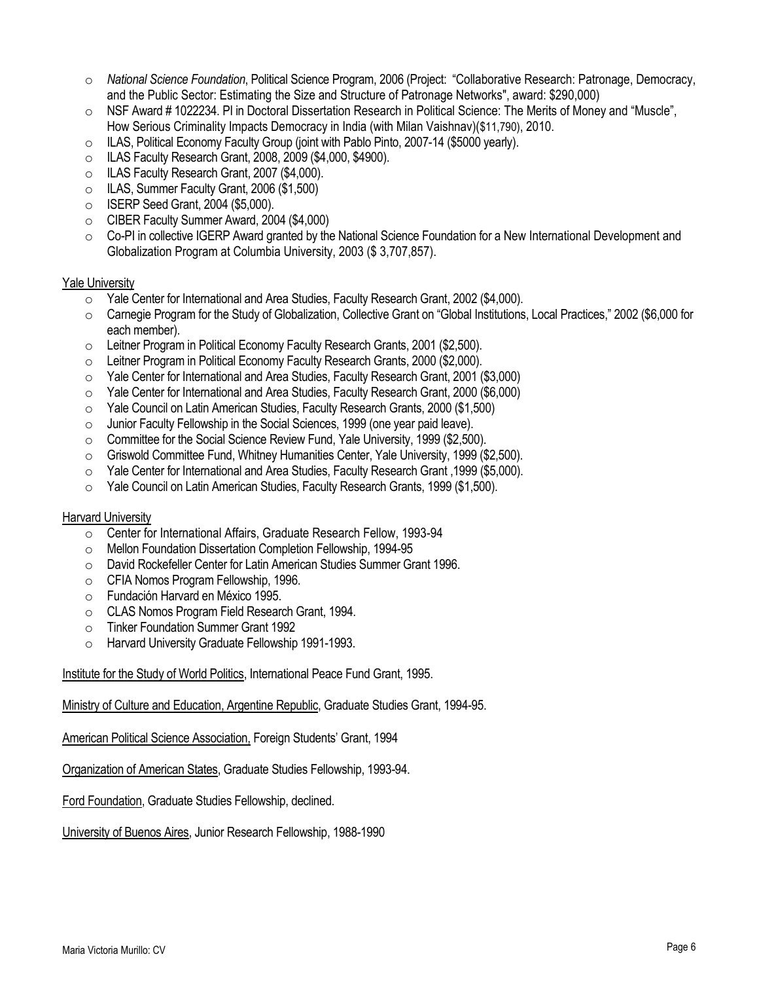- o *National Science Foundation*, Political Science Program, 2006 (Project: "Collaborative Research: Patronage, Democracy, and the Public Sector: Estimating the Size and Structure of Patronage Networks", award: \$290,000)
- o NSF Award # 1022234. PI in Doctoral Dissertation Research in Political Science: The Merits of Money and "Muscle", How Serious Criminality Impacts Democracy in India (with Milan Vaishnav)(\$11,790), 2010.
- $\circ$  ILAS, Political Economy Faculty Group (joint with Pablo Pinto, 2007-14 (\$5000 yearly).
- o ILAS Faculty Research Grant, 2008, 2009 (\$4,000, \$4900).
- o ILAS Faculty Research Grant, 2007 (\$4,000).
- o ILAS, Summer Faculty Grant, 2006 (\$1,500)
- o ISERP Seed Grant, 2004 (\$5,000).
- o CIBER Faculty Summer Award, 2004 (\$4,000)
- $\circ$  Co-PI in collective IGERP Award granted by the National Science Foundation for a New International Development and Globalization Program at Columbia University, 2003 (\$ 3,707,857).

#### **Yale University**

- o Yale Center for International and Area Studies, Faculty Research Grant, 2002 (\$4,000).
- o Carnegie Program for the Study of Globalization, Collective Grant on "Global Institutions, Local Practices," 2002 (\$6,000 for each member).
- o Leitner Program in Political Economy Faculty Research Grants, 2001 (\$2,500).
- o Leitner Program in Political Economy Faculty Research Grants, 2000 (\$2,000).
- o Yale Center for International and Area Studies, Faculty Research Grant, 2001 (\$3,000)
- o Yale Center for International and Area Studies, Faculty Research Grant, 2000 (\$6,000)
- o Yale Council on Latin American Studies, Faculty Research Grants, 2000 (\$1,500)
- $\circ$  Junior Faculty Fellowship in the Social Sciences, 1999 (one year paid leave).
- o Committee for the Social Science Review Fund, Yale University, 1999 (\$2,500).
- $\circ$  Griswold Committee Fund, Whitney Humanities Center, Yale University, 1999 (\$2,500).
- o Yale Center for International and Area Studies, Faculty Research Grant ,1999 (\$5,000).
- o Yale Council on Latin American Studies, Faculty Research Grants, 1999 (\$1,500).

#### Harvard University

- o Center for International Affairs, Graduate Research Fellow, 1993-94
- o Mellon Foundation Dissertation Completion Fellowship, 1994-95
- o David Rockefeller Center for Latin American Studies Summer Grant 1996.
- o CFIA Nomos Program Fellowship, 1996.
- o Fundación Harvard en México 1995.
- o CLAS Nomos Program Field Research Grant, 1994.
- o Tinker Foundation Summer Grant 1992
- o Harvard University Graduate Fellowship 1991-1993.

Institute for the Study of World Politics, International Peace Fund Grant, 1995.

Ministry of Culture and Education, Argentine Republic, Graduate Studies Grant, 1994-95.

American Political Science Association, Foreign Students' Grant, 1994

Organization of American States, Graduate Studies Fellowship, 1993-94.

Ford Foundation, Graduate Studies Fellowship, declined.

University of Buenos Aires, Junior Research Fellowship, 1988-1990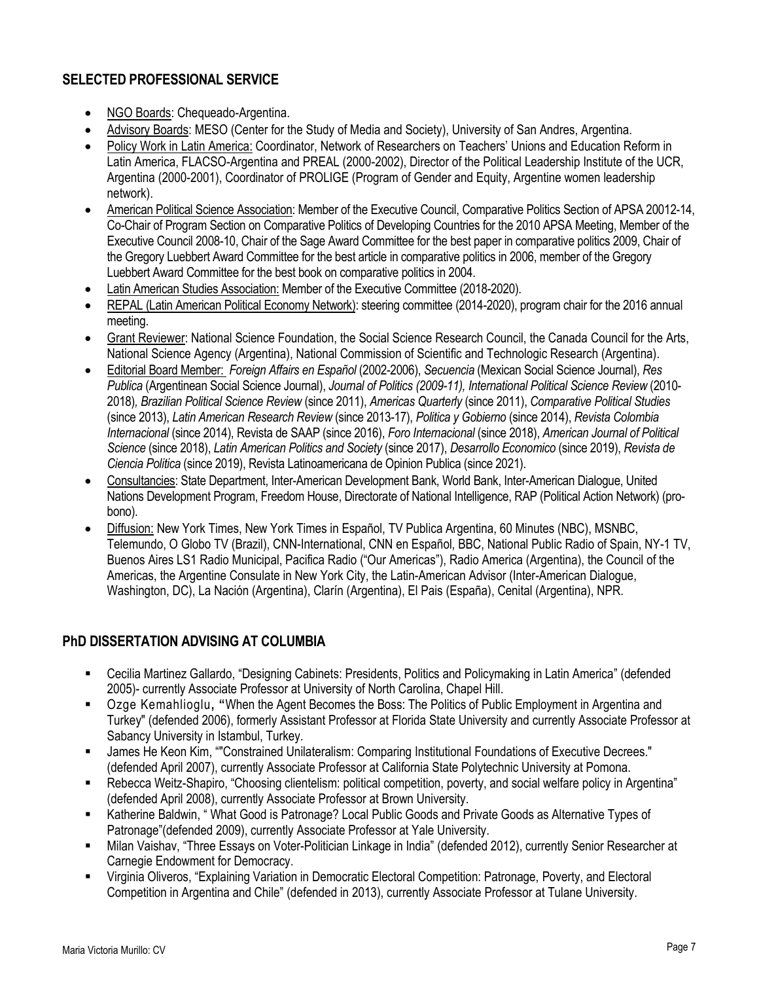## **SELECTED PROFESSIONAL SERVICE**

- NGO Boards: Chequeado-Argentina.
- Advisory Boards: MESO (Center for the Study of Media and Society), University of San Andres, Argentina.
- Policy Work in Latin America: Coordinator, Network of Researchers on Teachers' Unions and Education Reform in Latin America, FLACSO-Argentina and PREAL (2000-2002), Director of the Political Leadership Institute of the UCR, Argentina (2000-2001), Coordinator of PROLIGE (Program of Gender and Equity, Argentine women leadership network).
- American Political Science Association: Member of the Executive Council, Comparative Politics Section of APSA 20012-14, Co-Chair of Program Section on Comparative Politics of Developing Countries for the 2010 APSA Meeting, Member of the Executive Council 2008-10, Chair of the Sage Award Committee for the best paper in comparative politics 2009, Chair of the Gregory Luebbert Award Committee for the best article in comparative politics in 2006, member of the Gregory Luebbert Award Committee for the best book on comparative politics in 2004.
- Latin American Studies Association: Member of the Executive Committee (2018-2020).
- REPAL (Latin American Political Economy Network): steering committee (2014-2020), program chair for the 2016 annual meeting.
- Grant Reviewer: National Science Foundation, the Social Science Research Council, the Canada Council for the Arts, National Science Agency (Argentina), National Commission of Scientific and Technologic Research (Argentina).
- Editorial Board Member: *Foreign Affairs en Español* (2002-2006), *Secuencia* (Mexican Social Science Journal), *Res Publica* (Argentinean Social Science Journal), *Journal of Politics (2009-11), International Political Science Review* (2010- 2018)*, Brazilian Political Science Review* (since 2011), *Americas Quarterly* (since 2011), *Comparative Political Studies* (since 2013), *Latin American Research Review* (since 2013-17), *Politica y Gobierno* (since 2014), *Revista Colombia Internacional* (since 2014), Revista de SAAP (since 2016), *Foro Internacional* (since 2018), *American Journal of Political Science* (since 2018), *Latin American Politics and Society* (since 2017), *Desarrollo Economico* (since 2019), *Revista de Ciencia Politica* (since 2019), Revista Latinoamericana de Opinion Publica (since 2021).
- Consultancies: State Department, Inter-American Development Bank, World Bank, Inter-American Dialogue, United Nations Development Program, Freedom House, Directorate of National Intelligence, RAP (Political Action Network) (probono).
- Diffusion: New York Times, New York Times in Español, TV Publica Argentina, 60 Minutes (NBC), MSNBC, Telemundo, O Globo TV (Brazil), CNN-International, CNN en Español, BBC, National Public Radio of Spain, NY-1 TV, Buenos Aires LS1 Radio Municipal, Pacifica Radio ("Our Americas"), Radio America (Argentina), the Council of the Americas, the Argentine Consulate in New York City, the Latin-American Advisor (Inter-American Dialogue, Washington, DC), La Nación (Argentina), Clarín (Argentina), El Pais (España), Cenital (Argentina), NPR.

## **PhD DISSERTATION ADVISING AT COLUMBIA**

- Cecilia Martinez Gallardo, "Designing Cabinets: Presidents, Politics and Policymaking in Latin America" (defended 2005)- currently Associate Professor at University of North Carolina, Chapel Hill.
- Ozge Kemahlioglu**, "**When the Agent Becomes the Boss: The Politics of Public Employment in Argentina and Turkey" (defended 2006), formerly Assistant Professor at Florida State University and currently Associate Professor at Sabancy University in Istambul, Turkey.
- James He Keon Kim, ""Constrained Unilateralism: Comparing Institutional Foundations of Executive Decrees." (defended April 2007), currently Associate Professor at California State Polytechnic University at Pomona.
- Rebecca Weitz-Shapiro, "Choosing clientelism: political competition, poverty, and social welfare policy in Argentina" (defended April 2008), currently Associate Professor at Brown University.
- **Katherine Baldwin, " What Good is Patronage? Local Public Goods and Private Goods as Alternative Types of** Patronage"(defended 2009), currently Associate Professor at Yale University.
- Milan Vaishav, "Three Essays on Voter-Politician Linkage in India" (defended 2012), currently Senior Researcher at Carnegie Endowment for Democracy.
- Virginia Oliveros, "Explaining Variation in Democratic Electoral Competition: Patronage, Poverty, and Electoral Competition in Argentina and Chile" (defended in 2013), currently Associate Professor at Tulane University.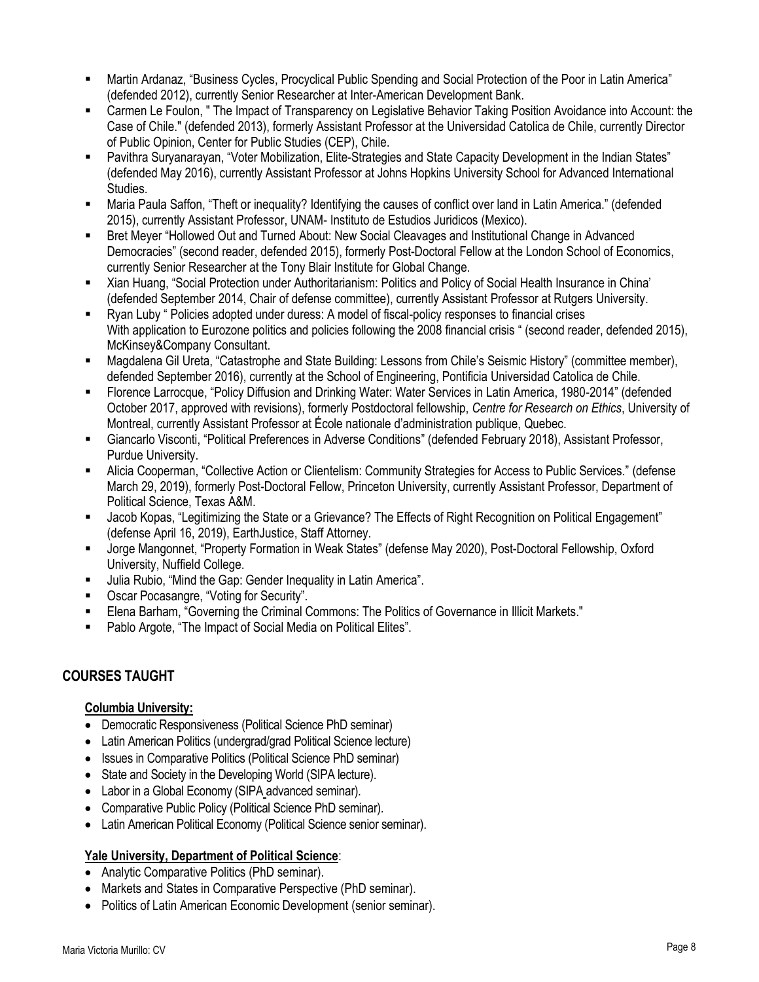- Martin Ardanaz, "Business Cycles, Procyclical Public Spending and Social Protection of the Poor in Latin America" (defended 2012), currently Senior Researcher at Inter-American Development Bank.
- Carmen Le Foulon, " The Impact of Transparency on Legislative Behavior Taking Position Avoidance into Account: the Case of Chile." (defended 2013), formerly Assistant Professor at the Universidad Catolica de Chile, currently Director of Public Opinion, Center for Public Studies (CEP), Chile.
- Pavithra Suryanarayan, "Voter Mobilization, Elite-Strategies and State Capacity Development in the Indian States" (defended May 2016), currently Assistant Professor at Johns Hopkins University School for Advanced International Studies.
- Maria Paula Saffon, "Theft or inequality? Identifying the causes of conflict over land in Latin America." (defended 2015), currently Assistant Professor, UNAM- Instituto de Estudios Juridicos (Mexico).
- Bret Meyer "Hollowed Out and Turned About: New Social Cleavages and Institutional Change in Advanced Democracies" (second reader, defended 2015), formerly Post-Doctoral Fellow at the London School of Economics, currently Senior Researcher at the Tony Blair Institute for Global Change.
- Xian Huang, "Social Protection under Authoritarianism: Politics and Policy of Social Health Insurance in China' (defended September 2014, Chair of defense committee), currently Assistant Professor at Rutgers University.
- Ryan Luby " Policies adopted under duress: A model of fiscal-policy responses to financial crises With application to Eurozone politics and policies following the 2008 financial crisis " (second reader, defended 2015), McKinsey&Company Consultant.
- Magdalena Gil Ureta, "Catastrophe and State Building: Lessons from Chile's Seismic History" (committee member), defended September 2016), currently at the School of Engineering, Pontificia Universidad Catolica de Chile.
- Florence Larrocque, "Policy Diffusion and Drinking Water: Water Services in Latin America, 1980-2014" (defended October 2017, approved with revisions), formerly Postdoctoral fellowship, *Centre for Research on Ethics*, University of Montreal, currently Assistant Professor at École nationale d'administration publique, Quebec.
- Giancarlo Visconti, "Political Preferences in Adverse Conditions" (defended February 2018), Assistant Professor, Purdue University.
- Alicia Cooperman, "Collective Action or Clientelism: Community Strategies for Access to Public Services." (defense March 29, 2019), formerly Post-Doctoral Fellow, Princeton University, currently Assistant Professor, Department of Political Science, Texas A&M.
- Jacob Kopas, "Legitimizing the State or a Grievance? The Effects of Right Recognition on Political Engagement" (defense April 16, 2019), EarthJustice, Staff Attorney.
- Jorge Mangonnet, "Property Formation in Weak States" (defense May 2020), Post-Doctoral Fellowship, Oxford University, Nuffield College.
- Julia Rubio, "Mind the Gap: Gender Inequality in Latin America".
- Oscar Pocasangre, "Voting for Security".
- Elena Barham, "Governing the Criminal Commons: The Politics of Governance in Illicit Markets."
- **Pablo Argote, "The Impact of Social Media on Political Elites".**

## **COURSES TAUGHT**

### **Columbia University:**

- Democratic Responsiveness (Political Science PhD seminar)
- Latin American Politics (undergrad/grad Political Science lecture)
- Issues in Comparative Politics (Political Science PhD seminar)
- State and Society in the Developing World (SIPA lecture).
- Labor in a Global Economy (SIPA advanced seminar).
- Comparative Public Policy (Political Science PhD seminar).
- Latin American Political Economy (Political Science senior seminar).

## **Yale University, Department of Political Science**:

- Analytic Comparative Politics (PhD seminar).
- Markets and States in Comparative Perspective (PhD seminar).
- Politics of Latin American Economic Development (senior seminar).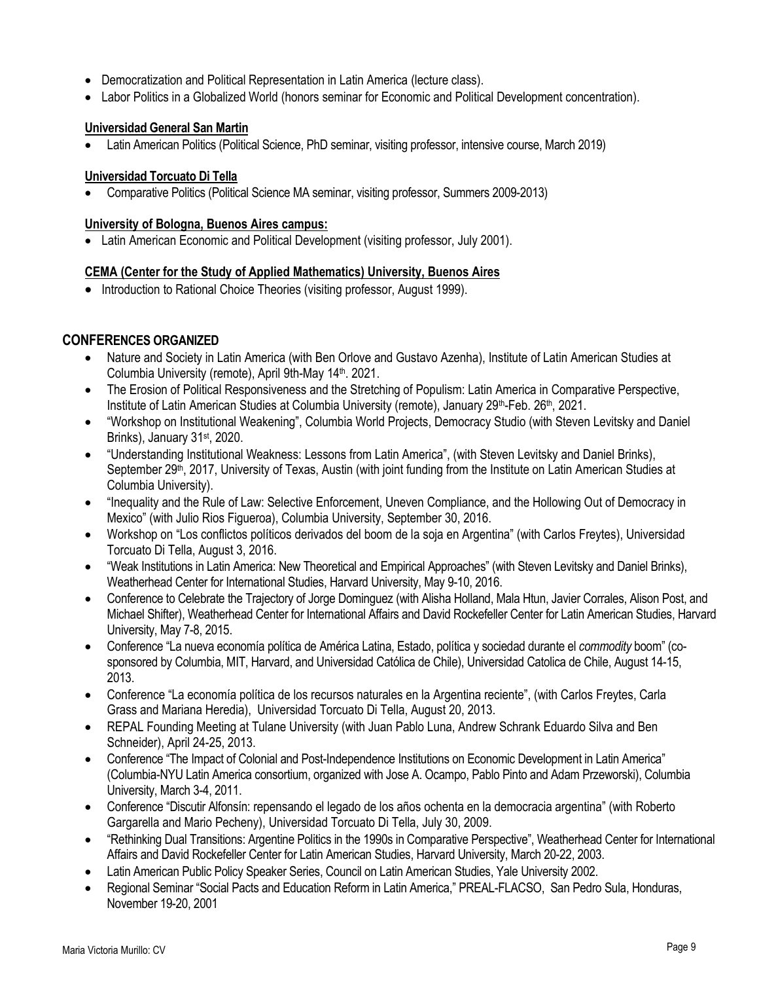- Democratization and Political Representation in Latin America (lecture class).
- Labor Politics in a Globalized World (honors seminar for Economic and Political Development concentration).

### **Universidad General San Martin**

Latin American Politics (Political Science, PhD seminar, visiting professor, intensive course, March 2019)

#### **Universidad Torcuato Di Tella**

Comparative Politics (Political Science MA seminar, visiting professor, Summers 2009-2013)

#### **University of Bologna, Buenos Aires campus:**

Latin American Economic and Political Development (visiting professor, July 2001).

#### **CEMA (Center for the Study of Applied Mathematics) University, Buenos Aires**

• Introduction to Rational Choice Theories (visiting professor, August 1999).

### **CONFERENCES ORGANIZED**

- Nature and Society in Latin America (with Ben Orlove and Gustavo Azenha), Institute of Latin American Studies at Columbia University (remote), April 9th-May 14<sup>th</sup>. 2021.
- The Erosion of Political Responsiveness and the Stretching of Populism: Latin America in Comparative Perspective, Institute of Latin American Studies at Columbia University (remote), January 29th-Feb. 26th, 2021.
- "Workshop on Institutional Weakening", Columbia World Projects, Democracy Studio (with Steven Levitsky and Daniel Brinks), January 31<sup>st</sup>, 2020.
- "Understanding Institutional Weakness: Lessons from Latin America", (with Steven Levitsky and Daniel Brinks), September 29<sup>th</sup>, 2017, University of Texas, Austin (with joint funding from the Institute on Latin American Studies at Columbia University).
- "Inequality and the Rule of Law: Selective Enforcement, Uneven Compliance, and the Hollowing Out of Democracy in Mexico" (with Julio Rios Figueroa), Columbia University, September 30, 2016.
- Workshop on "Los conflictos políticos derivados del boom de la soja en Argentina" (with Carlos Freytes), Universidad Torcuato Di Tella, August 3, 2016.
- "Weak Institutions in Latin America: New Theoretical and Empirical Approaches" (with Steven Levitsky and Daniel Brinks), Weatherhead Center for International Studies, Harvard University, May 9-10, 2016.
- Conference to Celebrate the Trajectory of Jorge Dominguez (with Alisha Holland, Mala Htun, Javier Corrales, Alison Post, and Michael Shifter), Weatherhead Center for International Affairs and David Rockefeller Center for Latin American Studies, Harvard University, May 7-8, 2015.
- Conference "La nueva economía política de América Latina, Estado, política y sociedad durante el *commodity* boom" (cosponsored by Columbia, MIT, Harvard, and Universidad Católica de Chile), Universidad Catolica de Chile, August 14-15, 2013.
- Conference "La economía política de los recursos naturales en la Argentina reciente", (with Carlos Freytes, Carla Grass and Mariana Heredia), Universidad Torcuato Di Tella, August 20, 2013.
- REPAL Founding Meeting at Tulane University (with Juan Pablo Luna, Andrew Schrank Eduardo Silva and Ben Schneider), April 24-25, 2013.
- Conference "The Impact of Colonial and Post-Independence Institutions on Economic Development in Latin America" (Columbia-NYU Latin America consortium, organized with Jose A. Ocampo, Pablo Pinto and Adam Przeworski), Columbia University, March 3-4, 2011.
- Conference "Discutir Alfonsín: repensando el legado de los años ochenta en la democracia argentina" (with Roberto Gargarella and Mario Pecheny), Universidad Torcuato Di Tella, July 30, 2009.
- "Rethinking Dual Transitions: Argentine Politics in the 1990s in Comparative Perspective", Weatherhead Center for International Affairs and David Rockefeller Center for Latin American Studies, Harvard University, March 20-22, 2003.
- Latin American Public Policy Speaker Series, Council on Latin American Studies, Yale University 2002.
- Regional Seminar "Social Pacts and Education Reform in Latin America," PREAL-FLACSO, San Pedro Sula, Honduras, November 19-20, 2001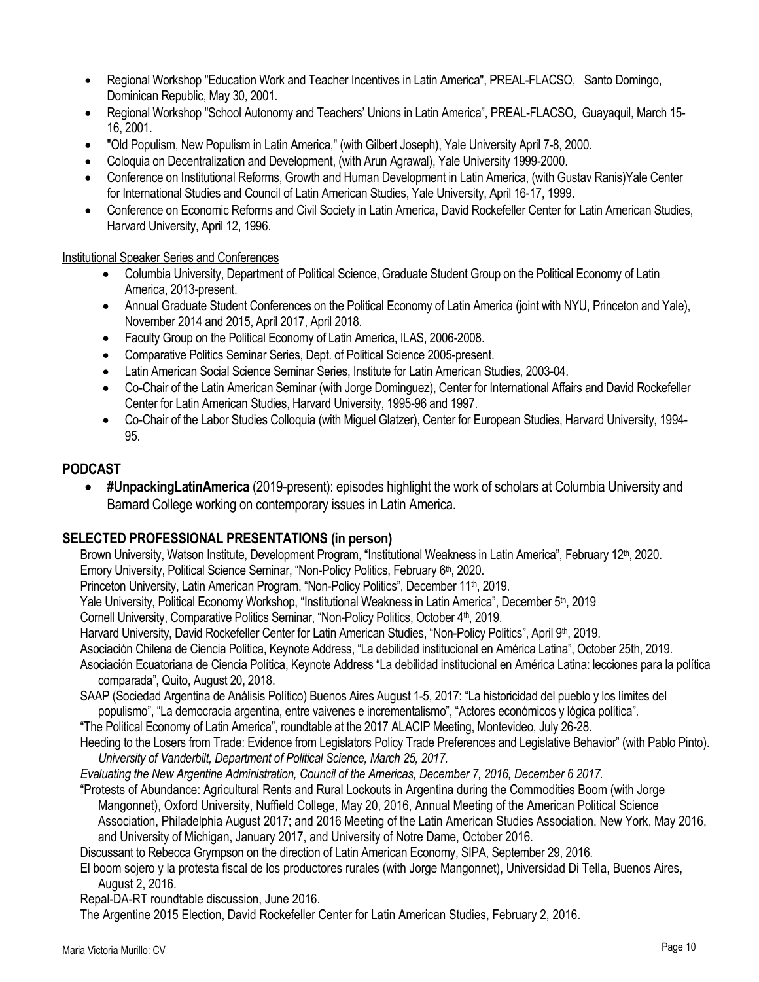- Regional Workshop "Education Work and Teacher Incentives in Latin America", PREAL-FLACSO, Santo Domingo, Dominican Republic, May 30, 2001.
- Regional Workshop "School Autonomy and Teachers' Unions in Latin America", PREAL-FLACSO, Guayaquil, March 15- 16, 2001.
- "Old Populism, New Populism in Latin America," (with Gilbert Joseph), Yale University April 7-8, 2000.
- Coloquia on Decentralization and Development, (with Arun Agrawal), Yale University 1999-2000.
- Conference on Institutional Reforms, Growth and Human Development in Latin America, (with Gustav Ranis)Yale Center for International Studies and Council of Latin American Studies, Yale University, April 16-17, 1999.
- Conference on Economic Reforms and Civil Society in Latin America, David Rockefeller Center for Latin American Studies, Harvard University, April 12, 1996.

#### Institutional Speaker Series and Conferences

- Columbia University, Department of Political Science, Graduate Student Group on the Political Economy of Latin America, 2013-present.
- Annual Graduate Student Conferences on the Political Economy of Latin America (joint with NYU, Princeton and Yale), November 2014 and 2015, April 2017, April 2018.
- Faculty Group on the Political Economy of Latin America, ILAS, 2006-2008.
- Comparative Politics Seminar Series, Dept. of Political Science 2005-present.
- Latin American Social Science Seminar Series, Institute for Latin American Studies, 2003-04.
- Co-Chair of the Latin American Seminar (with Jorge Dominguez), Center for International Affairs and David Rockefeller Center for Latin American Studies, Harvard University, 1995-96 and 1997.
- Co-Chair of the Labor Studies Colloquia (with Miguel Glatzer), Center for European Studies, Harvard University, 1994- 95.

### **PODCAST**

 **#UnpackingLatinAmerica** (2019-present): episodes highlight the work of scholars at Columbia University and Barnard College working on contemporary issues in Latin America.

## **SELECTED PROFESSIONAL PRESENTATIONS (in person)**

Brown University, Watson Institute, Development Program, "Institutional Weakness in Latin America", February 12<sup>th</sup>, 2020. Emory University, Political Science Seminar, "Non-Policy Politics, February 6<sup>th</sup>, 2020.

Princeton University, Latin American Program, "Non-Policy Politics", December 11<sup>th</sup>, 2019.

Yale University, Political Economy Workshop, "Institutional Weakness in Latin America", December 5<sup>th</sup>, 2019

Cornell University, Comparative Politics Seminar, "Non-Policy Politics, October 4<sup>th</sup>, 2019.

Harvard University, David Rockefeller Center for Latin American Studies, "Non-Policy Politics", April 9th, 2019.

Asociación Chilena de Ciencia Politica, Keynote Address, "La debilidad institucional en América Latina", October 25th, 2019.

- Asociación Ecuatoriana de Ciencia Política, Keynote Address "La debilidad institucional en América Latina: lecciones para la política comparada", Quito, August 20, 2018.
- SAAP (Sociedad Argentina de Análisis Político) Buenos Aires August 1-5, 2017: "La historicidad del pueblo y los límites del populismo", "La democracia argentina, entre vaivenes e incrementalismo", "Actores económicos y lógica política".

"The Political Economy of Latin America", roundtable at the 2017 ALACIP Meeting, Montevideo, July 26-28.

Heeding to the Losers from Trade: Evidence from Legislators Policy Trade Preferences and Legislative Behavior" (with Pablo Pinto). *University of Vanderbilt, Department of Political Science, March 25, 2017.*

*Evaluating the New Argentine Administration, Council of the Americas, December 7, 2016, December 6 2017.*

"Protests of Abundance: Agricultural Rents and Rural Lockouts in Argentina during the Commodities Boom (with Jorge Mangonnet), Oxford University, Nuffield College, May 20, 2016, Annual Meeting of the American Political Science Association, Philadelphia August 2017; and 2016 Meeting of the Latin American Studies Association, New York, May 2016, and University of Michigan, January 2017, and University of Notre Dame, October 2016.

Discussant to Rebecca Grympson on the direction of Latin American Economy, SIPA, September 29, 2016.

El boom sojero y la protesta fiscal de los productores rurales (with Jorge Mangonnet), Universidad Di Tella, Buenos Aires, August 2, 2016.

Repal-DA-RT roundtable discussion, June 2016.

The Argentine 2015 Election, David Rockefeller Center for Latin American Studies, February 2, 2016.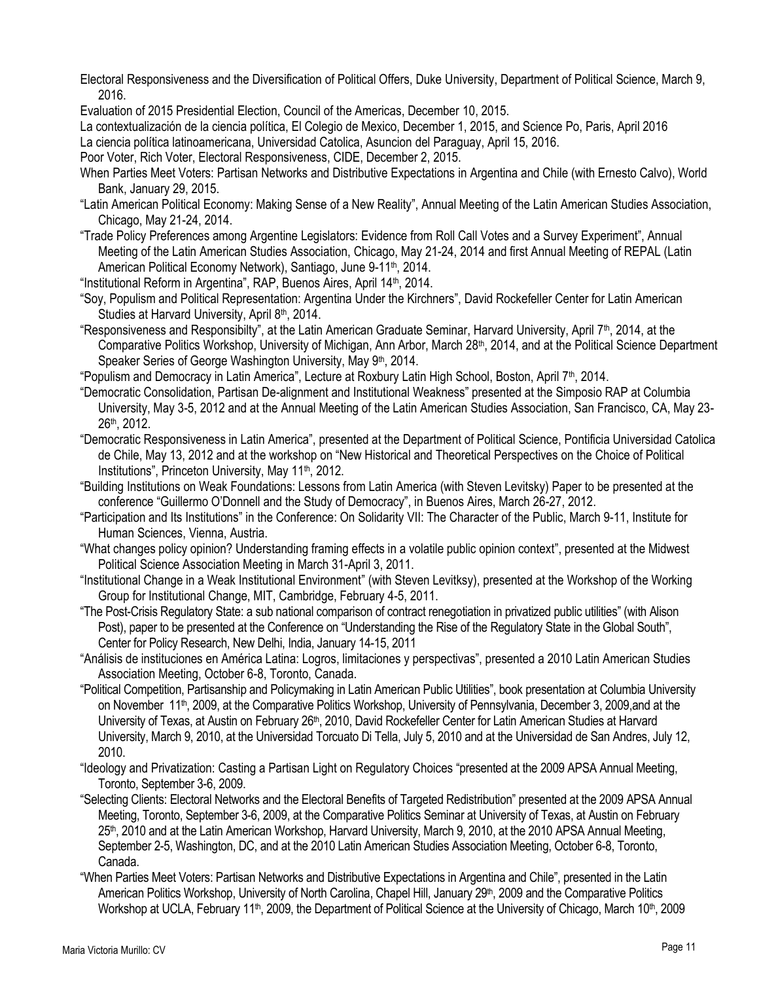- Electoral Responsiveness and the Diversification of Political Offers, Duke University, Department of Political Science, March 9, 2016.
- Evaluation of 2015 Presidential Election, Council of the Americas, December 10, 2015.

La contextualización de la ciencia política, El Colegio de Mexico, December 1, 2015, and Science Po, Paris, April 2016

La ciencia política latinoamericana, Universidad Catolica, Asuncion del Paraguay, April 15, 2016.

Poor Voter, Rich Voter, Electoral Responsiveness, CIDE, December 2, 2015.

- When Parties Meet Voters: Partisan Networks and Distributive Expectations in Argentina and Chile (with Ernesto Calvo), World Bank, January 29, 2015.
- "Latin American Political Economy: Making Sense of a New Reality", Annual Meeting of the Latin American Studies Association, Chicago, May 21-24, 2014.
- "Trade Policy Preferences among Argentine Legislators: Evidence from Roll Call Votes and a Survey Experiment", Annual Meeting of the Latin American Studies Association, Chicago, May 21-24, 2014 and first Annual Meeting of REPAL (Latin American Political Economy Network), Santiago, June 9-11<sup>th</sup>, 2014.
- "Institutional Reform in Argentina", RAP, Buenos Aires, April 14th, 2014.
- "Soy, Populism and Political Representation: Argentina Under the Kirchners", David Rockefeller Center for Latin American Studies at Harvard University, April 8th, 2014.
- "Responsiveness and Responsibilty", at the Latin American Graduate Seminar, Harvard University, April 7th, 2014, at the Comparative Politics Workshop, University of Michigan, Ann Arbor, March 28<sup>th</sup>, 2014, and at the Political Science Department Speaker Series of George Washington University, May 9<sup>th</sup>, 2014.

"Populism and Democracy in Latin America", Lecture at Roxbury Latin High School, Boston, April 7th, 2014.

- "Democratic Consolidation, Partisan De-alignment and Institutional Weakness" presented at the Simposio RAP at Columbia University, May 3-5, 2012 and at the Annual Meeting of the Latin American Studies Association, San Francisco, CA, May 23- 26th, 2012.
- "Democratic Responsiveness in Latin America", presented at the Department of Political Science, Pontificia Universidad Catolica de Chile, May 13, 2012 and at the workshop on "New Historical and Theoretical Perspectives on the Choice of Political Institutions", Princeton University, May 11<sup>th</sup>, 2012.
- "Building Institutions on Weak Foundations: Lessons from Latin America (with Steven Levitsky) Paper to be presented at the conference "Guillermo O'Donnell and the Study of Democracy", in Buenos Aires, March 26-27, 2012.
- "Participation and Its Institutions" in the Conference: On Solidarity VII: The Character of the Public, March 9-11, Institute for Human Sciences, Vienna, Austria.
- "What changes policy opinion? Understanding framing effects in a volatile public opinion context", presented at the Midwest Political Science Association Meeting in March 31-April 3, 2011.
- "Institutional Change in a Weak Institutional Environment" (with Steven Levitksy), presented at the Workshop of the Working Group for Institutional Change, MIT, Cambridge, February 4-5, 2011.
- "The Post-Crisis Regulatory State: a sub national comparison of contract renegotiation in privatized public utilities" (with Alison Post), paper to be presented at the Conference on "Understanding the Rise of the Regulatory State in the Global South", Center for Policy Research, New Delhi, India, January 14-15, 2011
- "Análisis de instituciones en América Latina: Logros, limitaciones y perspectivas", presented a 2010 Latin American Studies Association Meeting, October 6-8, Toronto, Canada.
- "Political Competition, Partisanship and Policymaking in Latin American Public Utilities", book presentation at Columbia University on November 11th, 2009, at the Comparative Politics Workshop, University of Pennsylvania, December 3, 2009,and at the University of Texas, at Austin on February 26<sup>th</sup>, 2010, David Rockefeller Center for Latin American Studies at Harvard University, March 9, 2010, at the Universidad Torcuato Di Tella, July 5, 2010 and at the Universidad de San Andres, July 12, 2010.
- "Ideology and Privatization: Casting a Partisan Light on Regulatory Choices "presented at the 2009 APSA Annual Meeting, Toronto, September 3-6, 2009.
- "Selecting Clients: Electoral Networks and the Electoral Benefits of Targeted Redistribution" presented at the 2009 APSA Annual Meeting, Toronto, September 3-6, 2009, at the Comparative Politics Seminar at University of Texas, at Austin on February 25th, 2010 and at the Latin American Workshop, Harvard University, March 9, 2010, at the 2010 APSA Annual Meeting, September 2-5, Washington, DC, and at the 2010 Latin American Studies Association Meeting, October 6-8, Toronto, Canada.
- "When Parties Meet Voters: Partisan Networks and Distributive Expectations in Argentina and Chile", presented in the Latin American Politics Workshop, University of North Carolina, Chapel Hill, January 29<sup>th</sup>, 2009 and the Comparative Politics Workshop at UCLA, February 11<sup>th</sup>, 2009, the Department of Political Science at the University of Chicago, March 10<sup>th</sup>, 2009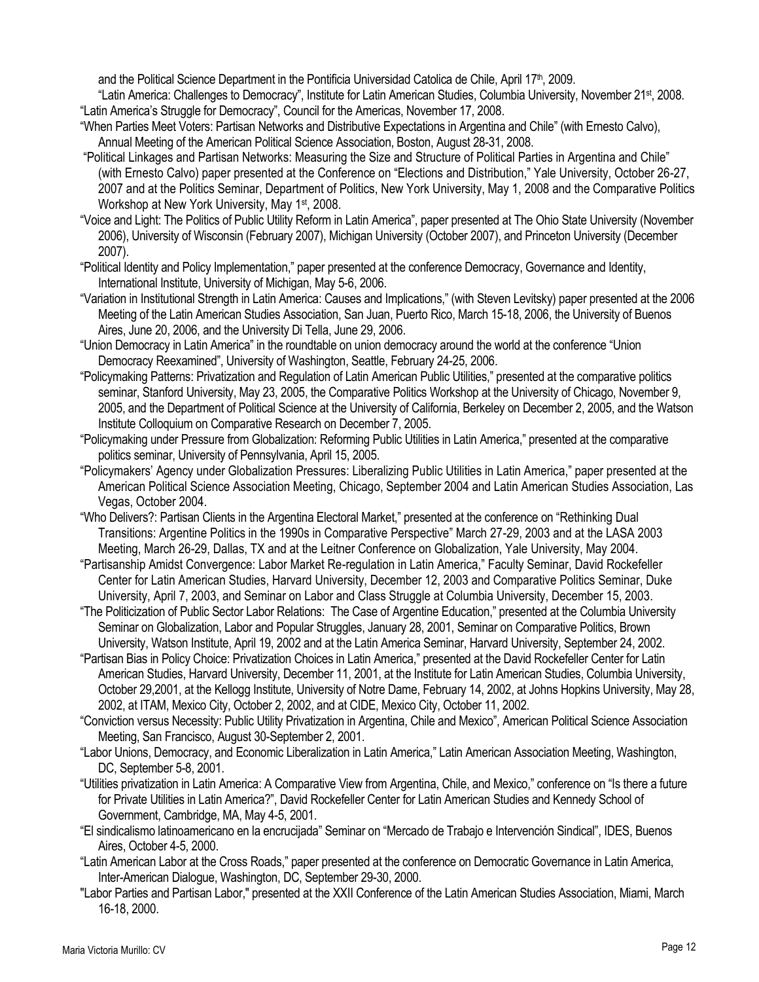and the Political Science Department in the Pontificia Universidad Catolica de Chile, April 17<sup>th</sup>, 2009.

"Latin America: Challenges to Democracy", Institute for Latin American Studies, Columbia University, November 21st, 2008. "Latin America's Struggle for Democracy", Council for the Americas, November 17, 2008.

- "When Parties Meet Voters: Partisan Networks and Distributive Expectations in Argentina and Chile" (with Ernesto Calvo), Annual Meeting of the American Political Science Association, Boston, August 28-31, 2008.
- "Political Linkages and Partisan Networks: Measuring the Size and Structure of Political Parties in Argentina and Chile" (with Ernesto Calvo) paper presented at the Conference on "Elections and Distribution," Yale University, October 26-27, 2007 and at the Politics Seminar, Department of Politics, New York University, May 1, 2008 and the Comparative Politics Workshop at New York University, May 1<sup>st</sup>, 2008.
- "Voice and Light: The Politics of Public Utility Reform in Latin America", paper presented at The Ohio State University (November 2006), University of Wisconsin (February 2007), Michigan University (October 2007), and Princeton University (December 2007).
- "Political Identity and Policy Implementation," paper presented at the conference Democracy, Governance and Identity, International Institute, University of Michigan, May 5-6, 2006.
- "Variation in Institutional Strength in Latin America: Causes and Implications," (with Steven Levitsky) paper presented at the 2006 Meeting of the Latin American Studies Association, San Juan, Puerto Rico, March 15-18, 2006, the University of Buenos Aires, June 20, 2006, and the University Di Tella, June 29, 2006.
- "Union Democracy in Latin America" in the roundtable on union democracy around the world at the conference "Union Democracy Reexamined", University of Washington, Seattle, February 24-25, 2006.
- "Policymaking Patterns: Privatization and Regulation of Latin American Public Utilities," presented at the comparative politics seminar, Stanford University, May 23, 2005, the Comparative Politics Workshop at the University of Chicago, November 9, 2005, and the Department of Political Science at the University of California, Berkeley on December 2, 2005, and the Watson Institute Colloquium on Comparative Research on December 7, 2005.
- "Policymaking under Pressure from Globalization: Reforming Public Utilities in Latin America," presented at the comparative politics seminar, University of Pennsylvania, April 15, 2005.
- "Policymakers' Agency under Globalization Pressures: Liberalizing Public Utilities in Latin America," paper presented at the American Political Science Association Meeting, Chicago, September 2004 and Latin American Studies Association, Las Vegas, October 2004.
- "Who Delivers?: Partisan Clients in the Argentina Electoral Market," presented at the conference on "Rethinking Dual Transitions: Argentine Politics in the 1990s in Comparative Perspective" March 27-29, 2003 and at the LASA 2003 Meeting, March 26-29, Dallas, TX and at the Leitner Conference on Globalization, Yale University, May 2004.
- "Partisanship Amidst Convergence: Labor Market Re-regulation in Latin America," Faculty Seminar, David Rockefeller Center for Latin American Studies, Harvard University, December 12, 2003 and Comparative Politics Seminar, Duke University, April 7, 2003, and Seminar on Labor and Class Struggle at Columbia University, December 15, 2003.
- "The Politicization of Public Sector Labor Relations: The Case of Argentine Education," presented at the Columbia University Seminar on Globalization, Labor and Popular Struggles, January 28, 2001, Seminar on Comparative Politics, Brown University, Watson Institute, April 19, 2002 and at the Latin America Seminar, Harvard University, September 24, 2002.
- "Partisan Bias in Policy Choice: Privatization Choices in Latin America," presented at the David Rockefeller Center for Latin American Studies, Harvard University, December 11, 2001, at the Institute for Latin American Studies, Columbia University, October 29,2001, at the Kellogg Institute, University of Notre Dame, February 14, 2002, at Johns Hopkins University, May 28, 2002, at ITAM, Mexico City, October 2, 2002, and at CIDE, Mexico City, October 11, 2002.
- "Conviction versus Necessity: Public Utility Privatization in Argentina, Chile and Mexico", American Political Science Association Meeting, San Francisco, August 30-September 2, 2001.
- "Labor Unions, Democracy, and Economic Liberalization in Latin America," Latin American Association Meeting, Washington, DC, September 5-8, 2001.
- "Utilities privatization in Latin America: A Comparative View from Argentina, Chile, and Mexico," conference on "Is there a future for Private Utilities in Latin America?", David Rockefeller Center for Latin American Studies and Kennedy School of Government, Cambridge, MA, May 4-5, 2001.
- "El sindicalismo latinoamericano en la encrucijada" Seminar on "Mercado de Trabajo e Intervención Sindical", IDES, Buenos Aires, October 4-5, 2000.
- "Latin American Labor at the Cross Roads," paper presented at the conference on Democratic Governance in Latin America, Inter-American Dialogue, Washington, DC, September 29-30, 2000.
- "Labor Parties and Partisan Labor," presented at the XXII Conference of the Latin American Studies Association, Miami, March 16-18, 2000.